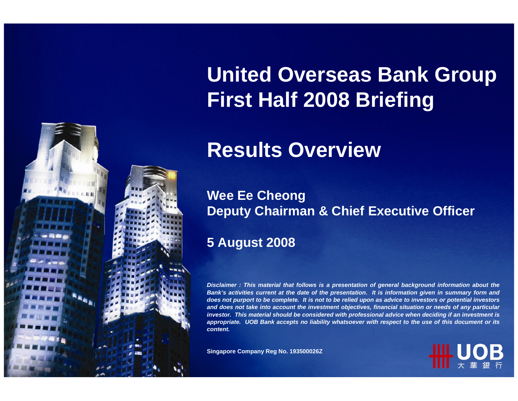

# **United Overseas Bank Group First Half 2008 Briefing**

## **Results Overview**

#### **Wee Ee Cheong Deputy Chairman & Chief Executive Officer**

### **5 August 2008**

*Disclaimer : This material that follows is a presentation of general background information about the Bank's activities current at the date of the presentation. It is information given in summary form and does not purport to be complete. It is not to be relied upon as advice to investors or potential investors and does not take into account the investment objectives, financial situation or needs of any particular investor. This material should be considered with professional advice when deciding if an investment is appropriate. UOB Bank accepts no liability whatsoever with respect to the use of this document or its content.*

**Singapore Company Reg No. 193500026Z**

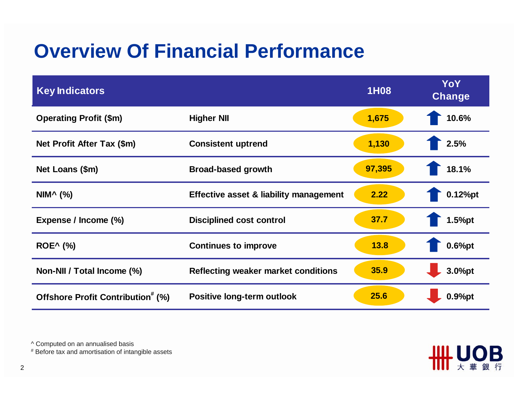## **Overview Of Financial Performance**

| <b>Key Indicators</b>                         |                                        | <b>1H08</b> | YoY<br>Change |
|-----------------------------------------------|----------------------------------------|-------------|---------------|
| <b>Operating Profit (\$m)</b>                 | <b>Higher NII</b>                      | 1,675       | 10.6%         |
| Net Profit After Tax (\$m)                    | <b>Consistent uptrend</b>              | 1,130       | 2.5%          |
| Net Loans (\$m)                               | <b>Broad-based growth</b>              | 97,395      | 18.1%         |
| NIM <sup>^</sup> $(\%)$                       | Effective asset & liability management | 2.22        | $0.12%$ pt    |
| Expense / Income (%)                          | <b>Disciplined cost control</b>        | 37.7        | 1.5%pt        |
| <b>ROE^</b> (%)                               | <b>Continues to improve</b>            | 13.8        | $0.6%$ pt     |
| Non-NII / Total Income (%)                    | Reflecting weaker market conditions    | 35.9        | 3.0%pt        |
| Offshore Profit Contribution <sup>#</sup> (%) | Positive long-term outlook             | 25.6        | $0.9%$ pt     |

ШЦ

B

^ Computed on an annualised basis

# Before tax and amortisation of intangible assets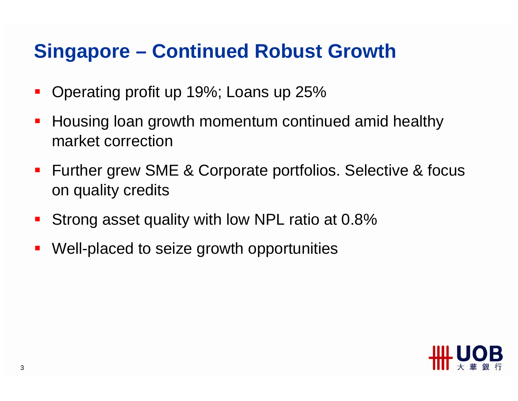## **Singapore – Continued Robust Growth**

- $\blacksquare$ Operating profit up 19%; Loans up 25%
- Housing loan growth momentum continued amid healthy market correction
- **Further grew SME & Corporate portfolios. Selective & focus** on quality credits
- Strong asset quality with low NPL ratio at 0.8%
- $\mathcal{L}_{\mathcal{A}}$ Well-placed to seize growth opportunities

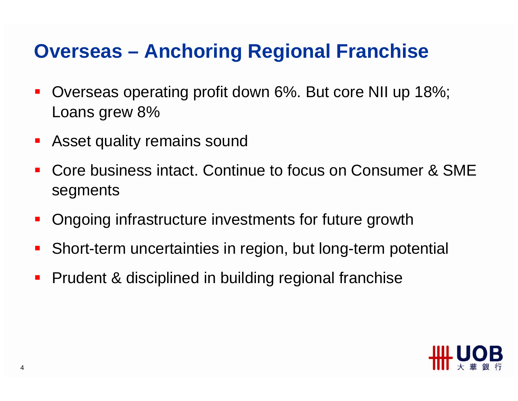### **Overseas – Anchoring Regional Franchise**

- $\mathcal{L}_{\mathcal{A}}$  Overseas operating profit down 6%. But core NII up 18%; Loans grew 8%
- **Asset quality remains sound**
- $\blacksquare$  Core business intact. Continue to focus on Consumer & SME segments
- Ongoing infrastructure investments for future growth
- $\blacksquare$ Short-term uncertainties in region, but long-term potential
- $\mathcal{L}_{\mathcal{A}}$ Prudent & disciplined in building regional franchise

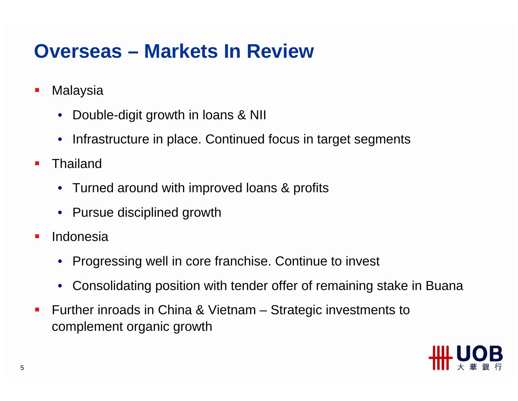### **Overseas – Markets In Review**

- $\overline{\phantom{a}}$ **Malaysia** 
	- Double-digit growth in loans & NII
	- Infrastructure in place. Continued focus in target segments
- $\mathcal{L}_{\mathcal{A}}$  Thailand
	- Turned around with improved loans & profits
	- Pursue disciplined growth
- $\blacksquare$  Indonesia
	- Progressing well in core franchise. Continue to invest
	- Consolidating position with tender offer of remaining stake in Buana
- $\blacksquare$  Further inroads in China & Vietnam – Strategic investments to complement organic growth

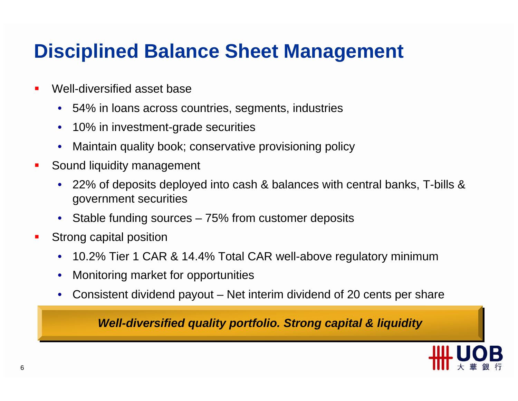## **Disciplined Balance Sheet Management**

- ٠ Well-diversified asset base
	- 54% in loans across countries, segments, industries
	- 10% in investment-grade securities
	- Maintain quality book; conservative provisioning policy
- $\blacksquare$  Sound liquidity management
	- 22% of deposits deployed into cash & balances with central banks, T-bills & government securities
	- Stable funding sources 75% from customer deposits
- $\mathcal{L}_{\mathcal{A}}$  Strong capital position
	- 10.2% Tier 1 CAR & 14.4% Total CAR well-above regulatory minimum
	- Monitoring market for opportunities
	- Consistent dividend payout Net interim dividend of 20 cents per share

#### *Well-diversified quality portfolio. Strong capital & liquidity*